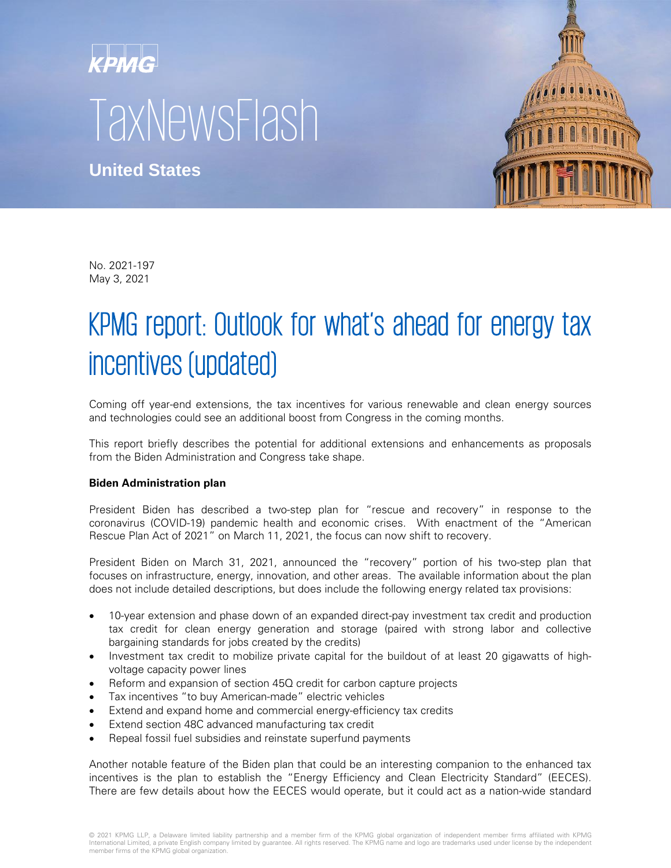# KPMG **TaxNewsFlash**

**United States**



No. 2021-197 May 3, 2021

# KPMG report: Outlook for what's ahead for energy tax incentives (updated)

Coming off year-end extensions, the tax incentives for various renewable and clean energy sources and technologies could see an additional boost from Congress in the coming months.

This report briefly describes the potential for additional extensions and enhancements as proposals from the Biden Administration and Congress take shape.

# **Biden Administration plan**

President Biden has described a two-step plan for "rescue and recovery" in response to the coronavirus (COVID-19) pandemic health and economic crises. With enactment of the "American Rescue Plan Act of 2021" on March 11, 2021, the focus can now shift to recovery.

President Biden on March 31, 2021, announced the "recovery" portion of his two-step plan that focuses on infrastructure, energy, innovation, and other areas. The available information about the plan does not include detailed descriptions, but does include the following energy related tax provisions:

- 10-year extension and phase down of an expanded direct-pay investment tax credit and production tax credit for clean energy generation and storage (paired with strong labor and collective bargaining standards for jobs created by the credits)
- Investment tax credit to mobilize private capital for the buildout of at least 20 gigawatts of highvoltage capacity power lines
- Reform and expansion of section 45Q credit for carbon capture projects
- Tax incentives "to buy American-made" electric vehicles
- Extend and expand home and commercial energy-efficiency tax credits
- Extend section 48C advanced manufacturing tax credit
- Repeal fossil fuel subsidies and reinstate superfund payments

Another notable feature of the Biden plan that could be an interesting companion to the enhanced tax incentives is the plan to establish the "Energy Efficiency and Clean Electricity Standard" (EECES). There are few details about how the EECES would operate, but it could act as a nation-wide standard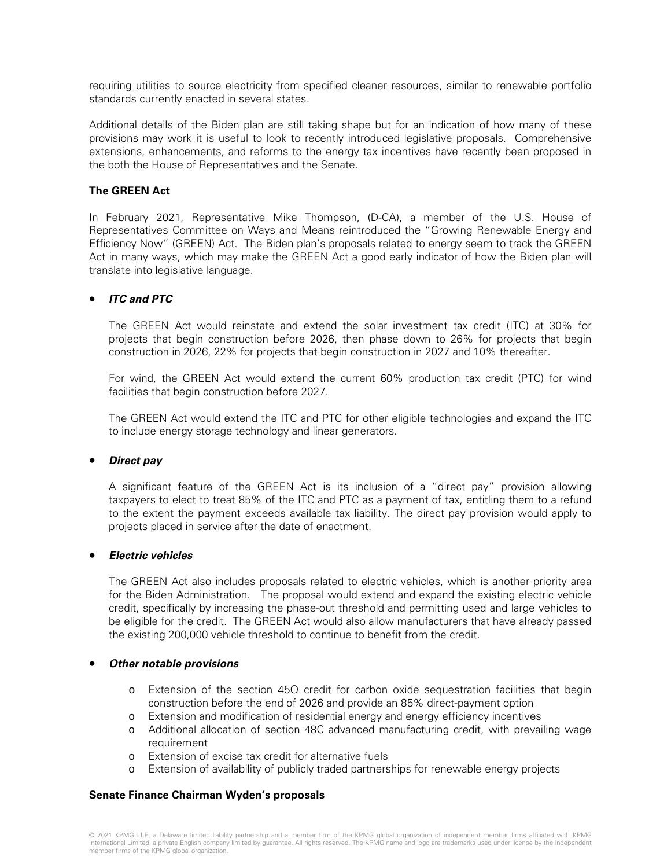requiring utilities to source electricity from specified cleaner resources, similar to renewable portfolio standards currently enacted in several states.

Additional details of the Biden plan are still taking shape but for an indication of how many of these provisions may work it is useful to look to recently introduced legislative proposals. Comprehensive extensions, enhancements, and reforms to the energy tax incentives have recently been proposed in the both the House of Representatives and the Senate.

# **The GREEN Act**

In February 2021, Representative Mike Thompson, (D-CA), a member of the U.S. House of Representatives Committee on Ways and Means reintroduced the "Growing Renewable Energy and Efficiency Now" (GREEN) Act. The Biden plan's proposals related to energy seem to track the GREEN Act in many ways, which may make the GREEN Act a good early indicator of how the Biden plan will translate into legislative language.

# • **ITC and PTC**

The GREEN Act would reinstate and extend the solar investment tax credit (ITC) at 30% for projects that begin construction before 2026, then phase down to 26% for projects that begin construction in 2026, 22% for projects that begin construction in 2027 and 10% thereafter.

For wind, the GREEN Act would extend the current 60% production tax credit (PTC) for wind facilities that begin construction before 2027.

The GREEN Act would extend the ITC and PTC for other eligible technologies and expand the ITC to include energy storage technology and linear generators.

#### • **Direct pay**

A significant feature of the GREEN Act is its inclusion of a "direct pay" provision allowing taxpayers to elect to treat 85% of the ITC and PTC as a payment of tax, entitling them to a refund to the extent the payment exceeds available tax liability. The direct pay provision would apply to projects placed in service after the date of enactment.

#### • **Electric vehicles**

The GREEN Act also includes proposals related to electric vehicles, which is another priority area for the Biden Administration. The proposal would extend and expand the existing electric vehicle credit, specifically by increasing the phase-out threshold and permitting used and large vehicles to be eligible for the credit. The GREEN Act would also allow manufacturers that have already passed the existing 200,000 vehicle threshold to continue to benefit from the credit.

#### • **Other notable provisions**

- o Extension of the section 45Q credit for carbon oxide sequestration facilities that begin construction before the end of 2026 and provide an 85% direct-payment option
- o Extension and modification of residential energy and energy efficiency incentives
- o Additional allocation of section 48C advanced manufacturing credit, with prevailing wage requirement
- o Extension of excise tax credit for alternative fuels
- o Extension of availability of publicly traded partnerships for renewable energy projects

#### **Senate Finance Chairman Wyden's proposals**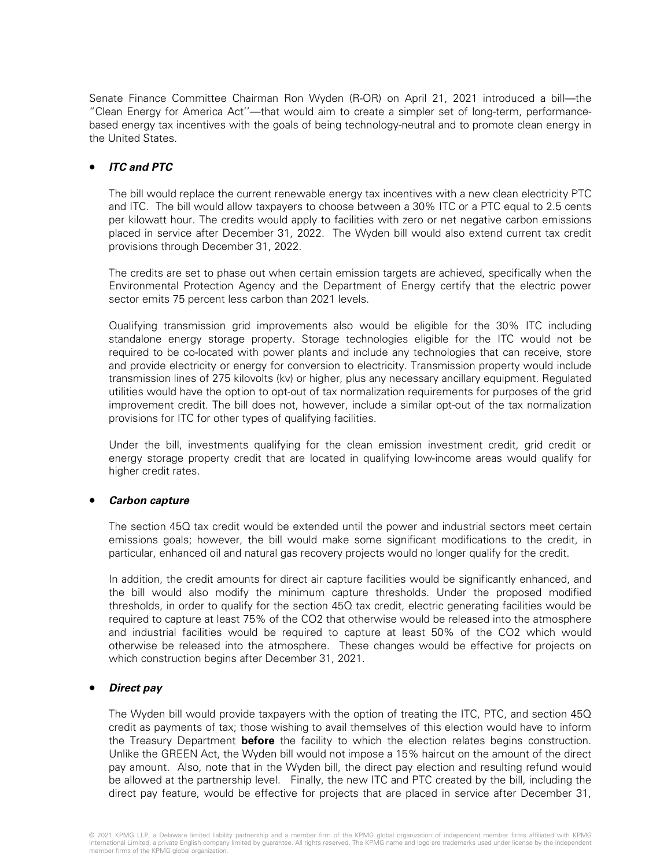Senate Finance Committee Chairman Ron Wyden (R-OR) on April 21, 2021 introduced a bill—the "Clean Energy for America Act''—that would aim to create a simpler set of long-term, performancebased energy tax incentives with the goals of being technology-neutral and to promote clean energy in the United States.

# • **ITC and PTC**

The bill would replace the current renewable energy tax incentives with a new clean electricity PTC and ITC. The bill would allow taxpayers to choose between a 30% ITC or a PTC equal to 2.5 cents per kilowatt hour. The credits would apply to facilities with zero or net negative carbon emissions placed in service after December 31, 2022. The Wyden bill would also extend current tax credit provisions through December 31, 2022.

The credits are set to phase out when certain emission targets are achieved, specifically when the Environmental Protection Agency and the Department of Energy certify that the electric power sector emits 75 percent less carbon than 2021 levels.

Qualifying transmission grid improvements also would be eligible for the 30% ITC including standalone energy storage property. Storage technologies eligible for the ITC would not be required to be co-located with power plants and include any technologies that can receive, store and provide electricity or energy for conversion to electricity. Transmission property would include transmission lines of 275 kilovolts (kv) or higher, plus any necessary ancillary equipment. Regulated utilities would have the option to opt-out of tax normalization requirements for purposes of the grid improvement credit. The bill does not, however, include a similar opt-out of the tax normalization provisions for ITC for other types of qualifying facilities.

Under the bill, investments qualifying for the clean emission investment credit, grid credit or energy storage property credit that are located in qualifying low-income areas would qualify for higher credit rates.

#### • **Carbon capture**

The section 45Q tax credit would be extended until the power and industrial sectors meet certain emissions goals; however, the bill would make some significant modifications to the credit, in particular, enhanced oil and natural gas recovery projects would no longer qualify for the credit.

In addition, the credit amounts for direct air capture facilities would be significantly enhanced, and the bill would also modify the minimum capture thresholds. Under the proposed modified thresholds, in order to qualify for the section 45Q tax credit, electric generating facilities would be required to capture at least 75% of the CO2 that otherwise would be released into the atmosphere and industrial facilities would be required to capture at least 50% of the CO2 which would otherwise be released into the atmosphere. These changes would be effective for projects on which construction begins after December 31, 2021.

#### • **Direct pay**

The Wyden bill would provide taxpayers with the option of treating the ITC, PTC, and section 45Q credit as payments of tax; those wishing to avail themselves of this election would have to inform the Treasury Department **before** the facility to which the election relates begins construction. Unlike the GREEN Act, the Wyden bill would not impose a 15% haircut on the amount of the direct pay amount. Also, note that in the Wyden bill, the direct pay election and resulting refund would be allowed at the partnership level. Finally, the new ITC and PTC created by the bill, including the direct pay feature, would be effective for projects that are placed in service after December 31,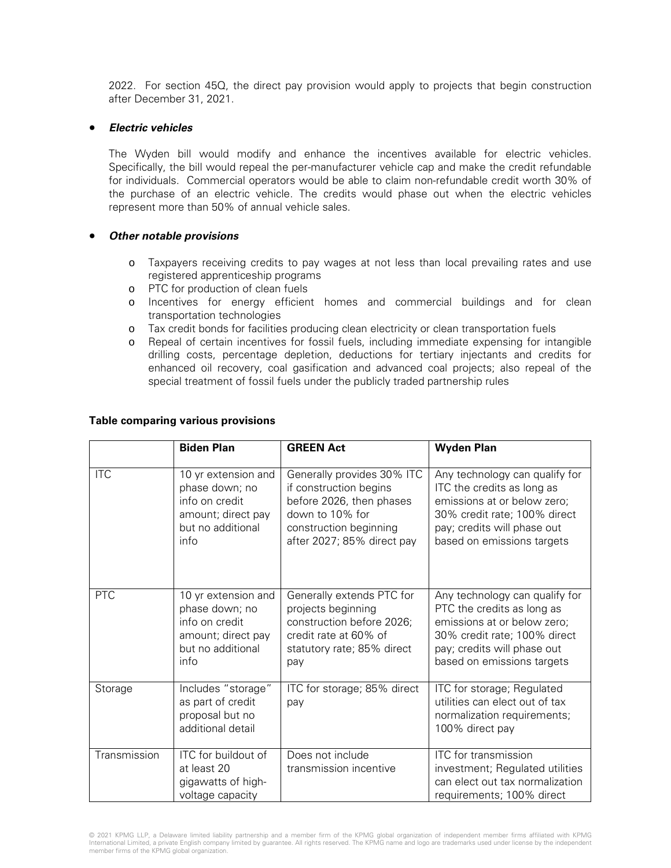2022. For section 45Q, the direct pay provision would apply to projects that begin construction after December 31, 2021.

#### • **Electric vehicles**

The Wyden bill would modify and enhance the incentives available for electric vehicles. Specifically, the bill would repeal the per-manufacturer vehicle cap and make the credit refundable for individuals. Commercial operators would be able to claim non-refundable credit worth 30% of the purchase of an electric vehicle. The credits would phase out when the electric vehicles represent more than 50% of annual vehicle sales.

# • **Other notable provisions**

- o Taxpayers receiving credits to pay wages at not less than local prevailing rates and use registered apprenticeship programs
- o PTC for production of clean fuels
- o Incentives for energy efficient homes and commercial buildings and for clean transportation technologies
- o Tax credit bonds for facilities producing clean electricity or clean transportation fuels
- o Repeal of certain incentives for fossil fuels, including immediate expensing for intangible drilling costs, percentage depletion, deductions for tertiary injectants and credits for enhanced oil recovery, coal gasification and advanced coal projects; also repeal of the special treatment of fossil fuels under the publicly traded partnership rules

#### **Table comparing various provisions**

|              | <b>Biden Plan</b>                                                                                          | <b>GREEN Act</b>                                                                                                                                            | <b>Wyden Plan</b>                                                                                                                                                                        |
|--------------|------------------------------------------------------------------------------------------------------------|-------------------------------------------------------------------------------------------------------------------------------------------------------------|------------------------------------------------------------------------------------------------------------------------------------------------------------------------------------------|
| <b>ITC</b>   | 10 yr extension and<br>phase down; no<br>info on credit<br>amount; direct pay<br>but no additional<br>info | Generally provides 30% ITC<br>if construction begins<br>before 2026, then phases<br>down to 10% for<br>construction beginning<br>after 2027; 85% direct pay | Any technology can qualify for<br>ITC the credits as long as<br>emissions at or below zero;<br>30% credit rate; 100% direct<br>pay; credits will phase out<br>based on emissions targets |
| PTC          | 10 yr extension and<br>phase down; no<br>info on credit<br>amount; direct pay<br>but no additional<br>info | Generally extends PTC for<br>projects beginning<br>construction before 2026;<br>credit rate at 60% of<br>statutory rate; 85% direct<br>pay                  | Any technology can qualify for<br>PTC the credits as long as<br>emissions at or below zero;<br>30% credit rate; 100% direct<br>pay; credits will phase out<br>based on emissions targets |
| Storage      | Includes "storage"<br>as part of credit<br>proposal but no<br>additional detail                            | ITC for storage; 85% direct<br>pay                                                                                                                          | ITC for storage; Regulated<br>utilities can elect out of tax<br>normalization requirements;<br>100% direct pay                                                                           |
| Transmission | ITC for buildout of<br>at least 20<br>gigawatts of high-<br>voltage capacity                               | Does not include<br>transmission incentive                                                                                                                  | ITC for transmission<br>investment; Regulated utilities<br>can elect out tax normalization<br>requirements; 100% direct                                                                  |

© 2021 KPMG LLP, a Delaware limited liability partnership and a member firm of the KPMG global organization of independent member firms affiliated with KPMG<br>International Limited, a private English company limited by guara member firms of the KPMG global organization.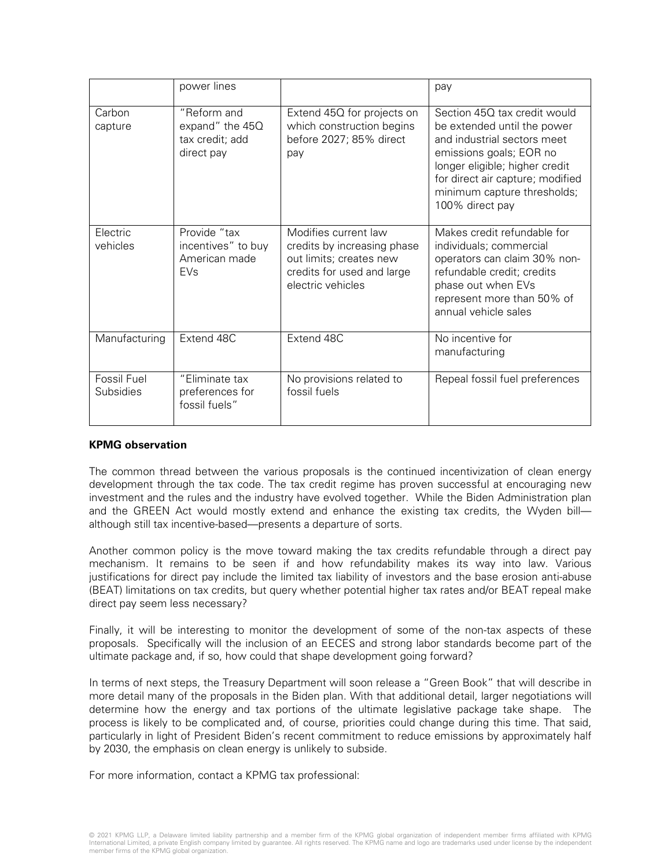|                          | power lines                                                            |                                                                                                                                   | pay                                                                                                                                                                                                                                           |
|--------------------------|------------------------------------------------------------------------|-----------------------------------------------------------------------------------------------------------------------------------|-----------------------------------------------------------------------------------------------------------------------------------------------------------------------------------------------------------------------------------------------|
| Carbon<br>capture        | "Reform and<br>expand" the 45Q<br>tax credit; add<br>direct pay        | Extend 45Q for projects on<br>which construction begins<br>before 2027; 85% direct<br>pay                                         | Section 45Q tax credit would<br>be extended until the power<br>and industrial sectors meet<br>emissions goals; EOR no<br>longer eligible; higher credit<br>for direct air capture; modified<br>minimum capture thresholds;<br>100% direct pay |
| Electric<br>vehicles     | Provide "tax<br>incentives" to buy<br>American made<br>EV <sub>s</sub> | Modifies current law<br>credits by increasing phase<br>out limits; creates new<br>credits for used and large<br>electric vehicles | Makes credit refundable for<br>individuals; commercial<br>operators can claim 30% non-<br>refundable credit; credits<br>phase out when EVs<br>represent more than 50% of<br>annual vehicle sales                                              |
| Manufacturing            | Extend 48C                                                             | Extend 48C                                                                                                                        | No incentive for<br>manufacturing                                                                                                                                                                                                             |
| Fossil Fuel<br>Subsidies | "Eliminate tax<br>preferences for<br>fossil fuels"                     | No provisions related to<br>fossil fuels                                                                                          | Repeal fossil fuel preferences                                                                                                                                                                                                                |

#### **KPMG observation**

The common thread between the various proposals is the continued incentivization of clean energy development through the tax code. The tax credit regime has proven successful at encouraging new investment and the rules and the industry have evolved together. While the Biden Administration plan and the GREEN Act would mostly extend and enhance the existing tax credits, the Wyden bill although still tax incentive-based—presents a departure of sorts.

Another common policy is the move toward making the tax credits refundable through a direct pay mechanism. It remains to be seen if and how refundability makes its way into law. Various justifications for direct pay include the limited tax liability of investors and the base erosion anti-abuse (BEAT) limitations on tax credits, but query whether potential higher tax rates and/or BEAT repeal make direct pay seem less necessary?

Finally, it will be interesting to monitor the development of some of the non-tax aspects of these proposals. Specifically will the inclusion of an EECES and strong labor standards become part of the ultimate package and, if so, how could that shape development going forward?

In terms of next steps, the Treasury Department will soon release a "Green Book" that will describe in more detail many of the proposals in the Biden plan. With that additional detail, larger negotiations will determine how the energy and tax portions of the ultimate legislative package take shape. The process is likely to be complicated and, of course, priorities could change during this time. That said, particularly in light of President Biden's recent commitment to reduce emissions by approximately half by 2030, the emphasis on clean energy is unlikely to subside.

For more information, contact a KPMG tax professional: